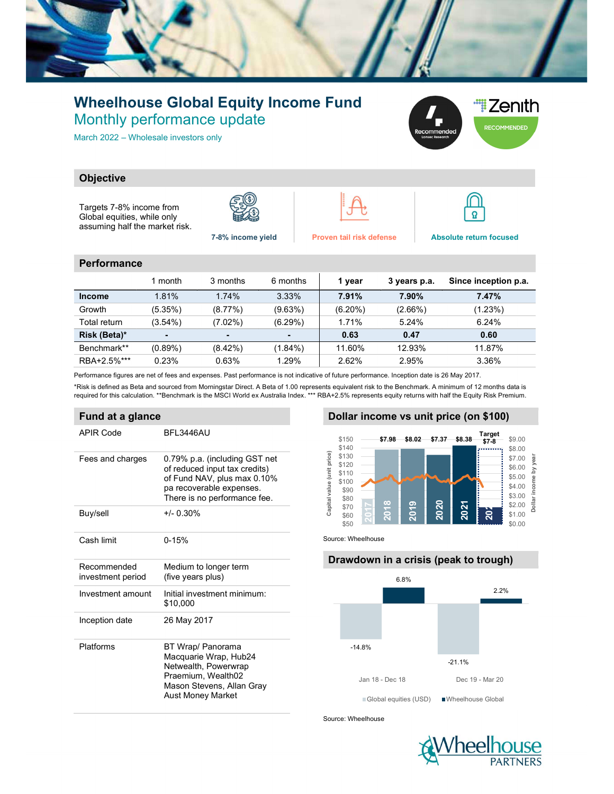

# Wheelhouse Global Equity Income Fund Monthly performance update

March 2022 – Wholesale investors only



# **Objective**

Targets 7-8% income from Global equities, while only assuming half the market risk.







7-8% income yield Proven tail risk defense Absolute return focused

#### **Performance**

|               | 1 month        | 3 months       | 6 months   | 1 year     | 3 years p.a. | Since inception p.a. |
|---------------|----------------|----------------|------------|------------|--------------|----------------------|
| <b>Income</b> | 1.81%          | 1.74%          | 3.33%      | 7.91%      | 7.90%        | 7.47%                |
| Growth        | (5.35%)        | (8.77%)        | (9.63%)    | $(6.20\%)$ | $(2.66\%)$   | (1.23%)              |
| Total return  | $(3.54\%)$     | $(7.02\%)$     | $(6.29\%)$ | 1.71%      | 5.24%        | 6.24%                |
| Risk (Beta)*  | $\blacksquare$ | $\blacksquare$ |            | 0.63       | 0.47         | 0.60                 |
| Benchmark**   | $(0.89\%)$     | $(8.42\%)$     | (1.84%)    | 11.60%     | 12.93%       | 11.87%               |
| RBA+2.5%***   | 0.23%          | 0.63%          | 1.29%      | 2.62%      | 2.95%        | 3.36%                |

Performance figures are net of fees and expenses. Past performance is not indicative of future performance. Inception date is 26 May 2017.

\*Risk is defined as Beta and sourced from Morningstar Direct. A Beta of 1.00 represents equivalent risk to the Benchmark. A minimum of 12 months data is required for this calculation. \*\*Benchmark is the MSCI World ex Australia Index. \*\*\* RBA+2.5% represents equity returns with half the Equity Risk Premium.

# Fund at a glance

| APIR Code                        | BFL3446AU                                                                                                                                                 |  |  |  |  |  |
|----------------------------------|-----------------------------------------------------------------------------------------------------------------------------------------------------------|--|--|--|--|--|
| Fees and charges                 | 0.79% p.a. (including GST net<br>of reduced input tax credits)<br>of Fund NAV, plus max 0.10%<br>pa recoverable expenses.<br>There is no performance fee. |  |  |  |  |  |
| Buy/sell                         | $+/- 0.30%$                                                                                                                                               |  |  |  |  |  |
| Cash limit                       | $0 - 15%$                                                                                                                                                 |  |  |  |  |  |
| Recommended<br>investment period | Medium to longer term<br>(five years plus)                                                                                                                |  |  |  |  |  |
| Investment amount                | Initial investment minimum:<br>\$10.000                                                                                                                   |  |  |  |  |  |
| Inception date                   | 26 May 2017                                                                                                                                               |  |  |  |  |  |
| Platforms                        | BT Wrap/ Panorama<br>Macquarie Wrap, Hub24<br>Netwealth, Powerwrap<br>Praemium, Wealth02<br>Mason Stevens, Allan Gray<br>Aust Money Market                |  |  |  |  |  |

# Dollar income vs unit price (on \$100)



Source: Wheelhouse

# Drawdown in a crisis (peak to trough)



Source: Wheelhouse